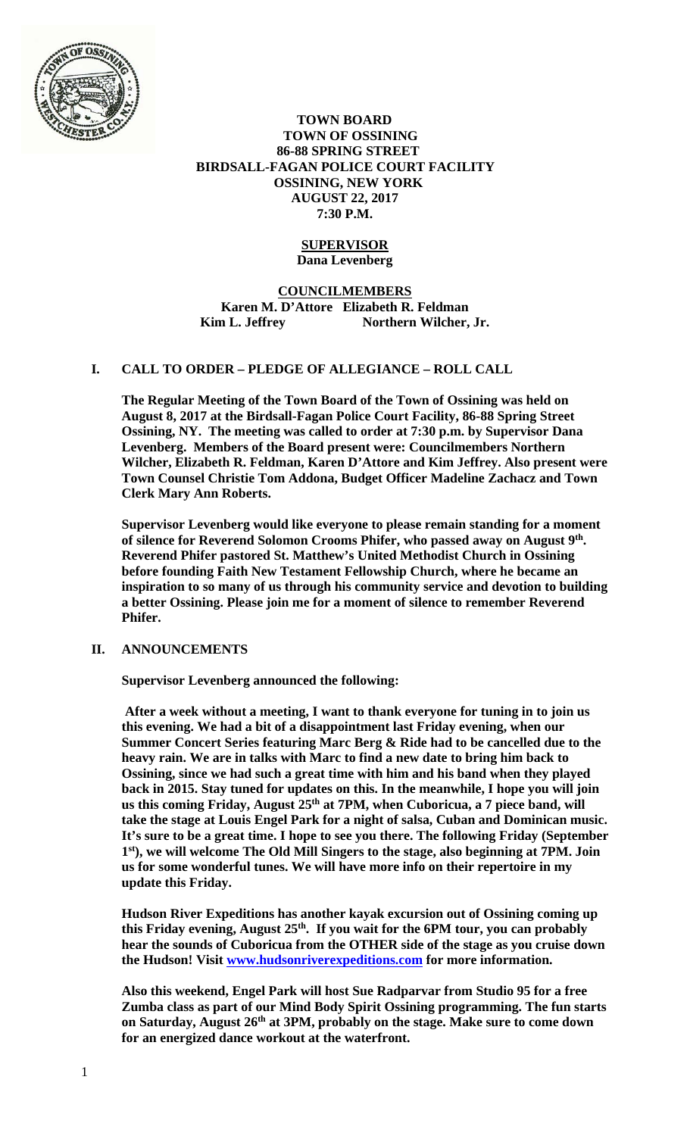

## **TOWN BOARD TOWN OF OSSINING 86-88 SPRING STREET BIRDSALL-FAGAN POLICE COURT FACILITY OSSINING, NEW YORK AUGUST 22, 2017 7:30 P.M.**

## **SUPERVISOR Dana Levenberg**

# **COUNCILMEMBERS Karen M. D'Attore Elizabeth R. Feldman**  Kim L. Jeffrey Northern Wilcher, Jr.

# **I. CALL TO ORDER – PLEDGE OF ALLEGIANCE – ROLL CALL**

**The Regular Meeting of the Town Board of the Town of Ossining was held on August 8, 2017 at the Birdsall-Fagan Police Court Facility, 86-88 Spring Street Ossining, NY. The meeting was called to order at 7:30 p.m. by Supervisor Dana Levenberg. Members of the Board present were: Councilmembers Northern Wilcher, Elizabeth R. Feldman, Karen D'Attore and Kim Jeffrey. Also present were Town Counsel Christie Tom Addona, Budget Officer Madeline Zachacz and Town Clerk Mary Ann Roberts.** 

**Supervisor Levenberg would like everyone to please remain standing for a moment of silence for Reverend Solomon Crooms Phifer, who passed away on August 9th. Reverend Phifer pastored St. Matthew's United Methodist Church in Ossining before founding Faith New Testament Fellowship Church, where he became an inspiration to so many of us through his community service and devotion to building a better Ossining. Please join me for a moment of silence to remember Reverend Phifer.** 

## **II. ANNOUNCEMENTS**

**Supervisor Levenberg announced the following:** 

**After a week without a meeting, I want to thank everyone for tuning in to join us this evening. We had a bit of a disappointment last Friday evening, when our Summer Concert Series featuring Marc Berg & Ride had to be cancelled due to the heavy rain. We are in talks with Marc to find a new date to bring him back to Ossining, since we had such a great time with him and his band when they played back in 2015. Stay tuned for updates on this. In the meanwhile, I hope you will join**  us this coming Friday, August 25<sup>th</sup> at 7PM, when Cuboricua, a 7 piece band, will **take the stage at Louis Engel Park for a night of salsa, Cuban and Dominican music. It's sure to be a great time. I hope to see you there. The following Friday (September 1st), we will welcome The Old Mill Singers to the stage, also beginning at 7PM. Join us for some wonderful tunes. We will have more info on their repertoire in my update this Friday.** 

**Hudson River Expeditions has another kayak excursion out of Ossining coming up this Friday evening, August 25th. If you wait for the 6PM tour, you can probably hear the sounds of Cuboricua from the OTHER side of the stage as you cruise down the Hudson! Visit www.hudsonriverexpeditions.com for more information.** 

**Also this weekend, Engel Park will host Sue Radparvar from Studio 95 for a free Zumba class as part of our Mind Body Spirit Ossining programming. The fun starts**  on Saturday, August 26<sup>th</sup> at 3PM, probably on the stage. Make sure to come down **for an energized dance workout at the waterfront.**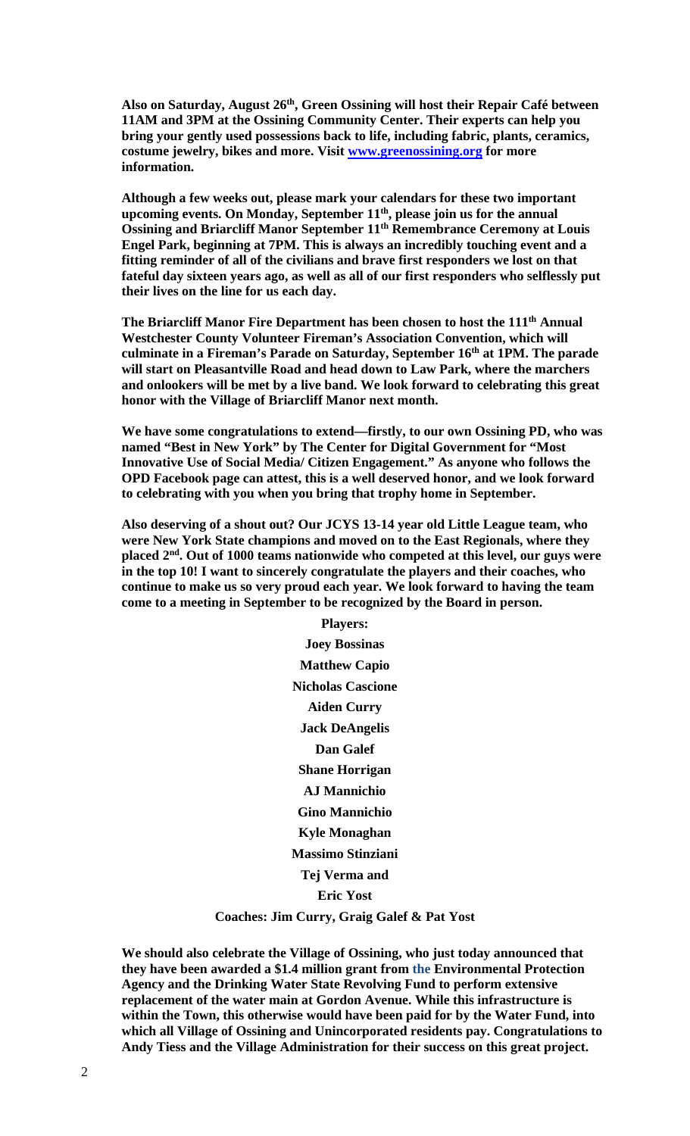Also on Saturday, August 26<sup>th</sup>, Green Ossining will host their Repair Café between **11AM and 3PM at the Ossining Community Center. Their experts can help you bring your gently used possessions back to life, including fabric, plants, ceramics, costume jewelry, bikes and more. Visit www.greenossining.org for more information.** 

**Although a few weeks out, please mark your calendars for these two important upcoming events. On Monday, September 11th, please join us for the annual Ossining and Briarcliff Manor September 11th Remembrance Ceremony at Louis Engel Park, beginning at 7PM. This is always an incredibly touching event and a fitting reminder of all of the civilians and brave first responders we lost on that fateful day sixteen years ago, as well as all of our first responders who selflessly put their lives on the line for us each day.** 

**The Briarcliff Manor Fire Department has been chosen to host the 111th Annual Westchester County Volunteer Fireman's Association Convention, which will culminate in a Fireman's Parade on Saturday, September 16th at 1PM. The parade will start on Pleasantville Road and head down to Law Park, where the marchers and onlookers will be met by a live band. We look forward to celebrating this great honor with the Village of Briarcliff Manor next month.** 

**We have some congratulations to extend—firstly, to our own Ossining PD, who was named "Best in New York" by The Center for Digital Government for "Most Innovative Use of Social Media/ Citizen Engagement." As anyone who follows the OPD Facebook page can attest, this is a well deserved honor, and we look forward to celebrating with you when you bring that trophy home in September.** 

**Also deserving of a shout out? Our JCYS 13-14 year old Little League team, who were New York State champions and moved on to the East Regionals, where they placed 2nd. Out of 1000 teams nationwide who competed at this level, our guys were in the top 10! I want to sincerely congratulate the players and their coaches, who continue to make us so very proud each year. We look forward to having the team come to a meeting in September to be recognized by the Board in person.** 

> **Players: Joey Bossinas Matthew Capio Nicholas Cascione Aiden Curry Jack DeAngelis Dan Galef Shane Horrigan AJ Mannichio Gino Mannichio Kyle Monaghan Massimo Stinziani Tej Verma and Eric Yost Coaches: Jim Curry, Graig Galef & Pat Yost**

**We should also celebrate the Village of Ossining, who just today announced that they have been awarded a \$1.4 million grant from the Environmental Protection Agency and the Drinking Water State Revolving Fund to perform extensive replacement of the water main at Gordon Avenue. While this infrastructure is within the Town, this otherwise would have been paid for by the Water Fund, into which all Village of Ossining and Unincorporated residents pay. Congratulations to Andy Tiess and the Village Administration for their success on this great project.**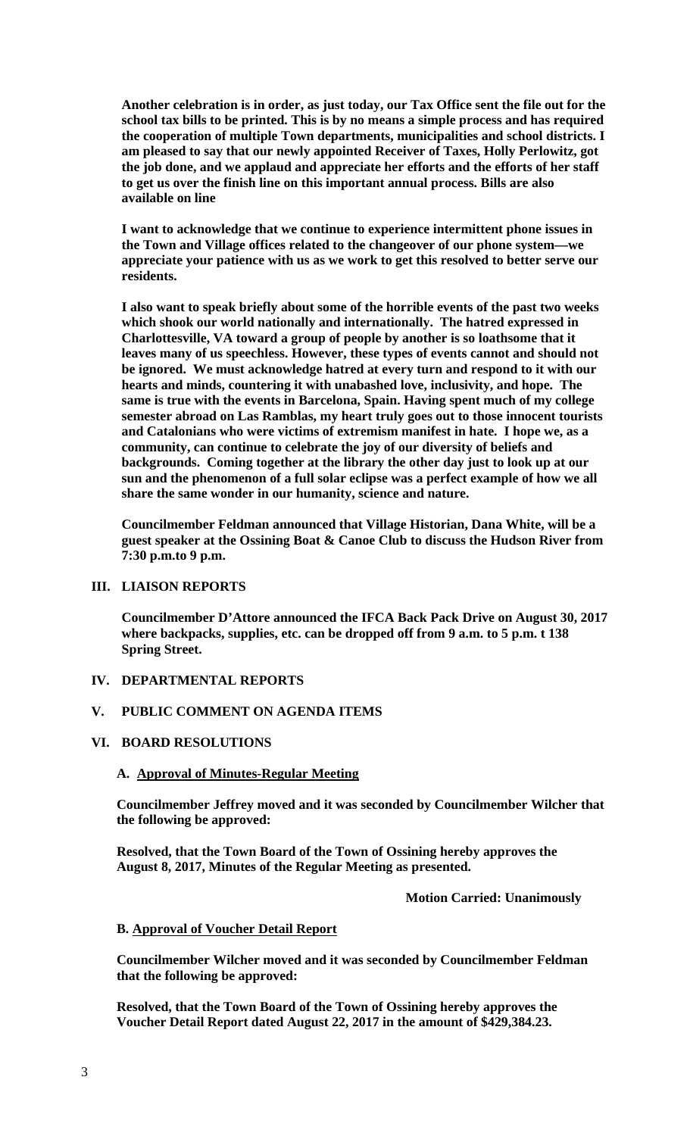**Another celebration is in order, as just today, our Tax Office sent the file out for the school tax bills to be printed. This is by no means a simple process and has required the cooperation of multiple Town departments, municipalities and school districts. I am pleased to say that our newly appointed Receiver of Taxes, Holly Perlowitz, got the job done, and we applaud and appreciate her efforts and the efforts of her staff to get us over the finish line on this important annual process. Bills are also available on line** 

**I want to acknowledge that we continue to experience intermittent phone issues in the Town and Village offices related to the changeover of our phone system—we appreciate your patience with us as we work to get this resolved to better serve our residents.** 

**I also want to speak briefly about some of the horrible events of the past two weeks which shook our world nationally and internationally. The hatred expressed in Charlottesville, VA toward a group of people by another is so loathsome that it leaves many of us speechless. However, these types of events cannot and should not be ignored. We must acknowledge hatred at every turn and respond to it with our hearts and minds, countering it with unabashed love, inclusivity, and hope. The same is true with the events in Barcelona, Spain. Having spent much of my college semester abroad on Las Ramblas, my heart truly goes out to those innocent tourists and Catalonians who were victims of extremism manifest in hate. I hope we, as a community, can continue to celebrate the joy of our diversity of beliefs and backgrounds. Coming together at the library the other day just to look up at our sun and the phenomenon of a full solar eclipse was a perfect example of how we all share the same wonder in our humanity, science and nature.** 

**Councilmember Feldman announced that Village Historian, Dana White, will be a guest speaker at the Ossining Boat & Canoe Club to discuss the Hudson River from 7:30 p.m.to 9 p.m.** 

## **III. LIAISON REPORTS**

**Councilmember D'Attore announced the IFCA Back Pack Drive on August 30, 2017 where backpacks, supplies, etc. can be dropped off from 9 a.m. to 5 p.m. t 138 Spring Street.** 

# **IV. DEPARTMENTAL REPORTS**

# **V. PUBLIC COMMENT ON AGENDA ITEMS**

### **VI. BOARD RESOLUTIONS**

## **A. Approval of Minutes-Regular Meeting**

**Councilmember Jeffrey moved and it was seconded by Councilmember Wilcher that the following be approved:** 

**Resolved, that the Town Board of the Town of Ossining hereby approves the August 8, 2017, Minutes of the Regular Meeting as presented.** 

 **Motion Carried: Unanimously** 

#### **B. Approval of Voucher Detail Report**

**Councilmember Wilcher moved and it was seconded by Councilmember Feldman that the following be approved:** 

**Resolved, that the Town Board of the Town of Ossining hereby approves the Voucher Detail Report dated August 22, 2017 in the amount of \$429,384.23.**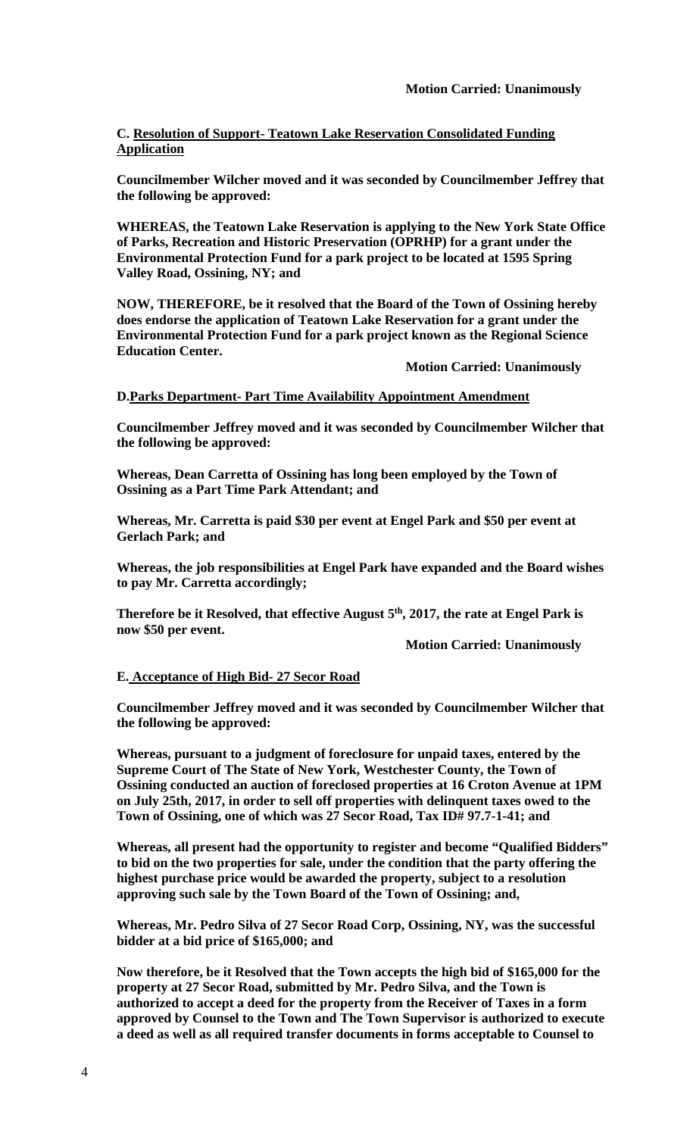# **C. Resolution of Support- Teatown Lake Reservation Consolidated Funding Application**

**Councilmember Wilcher moved and it was seconded by Councilmember Jeffrey that the following be approved:** 

**WHEREAS, the Teatown Lake Reservation is applying to the New York State Office of Parks, Recreation and Historic Preservation (OPRHP) for a grant under the Environmental Protection Fund for a park project to be located at 1595 Spring Valley Road, Ossining, NY; and** 

**NOW, THEREFORE, be it resolved that the Board of the Town of Ossining hereby does endorse the application of Teatown Lake Reservation for a grant under the Environmental Protection Fund for a park project known as the Regional Science Education Center.** 

 **Motion Carried: Unanimously** 

### **D.Parks Department- Part Time Availability Appointment Amendment**

**Councilmember Jeffrey moved and it was seconded by Councilmember Wilcher that the following be approved:** 

**Whereas, Dean Carretta of Ossining has long been employed by the Town of Ossining as a Part Time Park Attendant; and** 

**Whereas, Mr. Carretta is paid \$30 per event at Engel Park and \$50 per event at Gerlach Park; and** 

**Whereas, the job responsibilities at Engel Park have expanded and the Board wishes to pay Mr. Carretta accordingly;** 

Therefore be it Resolved, that effective August 5<sup>th</sup>, 2017, the rate at Engel Park is **now \$50 per event.** 

 **Motion Carried: Unanimously** 

#### **E. Acceptance of High Bid- 27 Secor Road**

**Councilmember Jeffrey moved and it was seconded by Councilmember Wilcher that the following be approved:** 

**Whereas, pursuant to a judgment of foreclosure for unpaid taxes, entered by the Supreme Court of The State of New York, Westchester County, the Town of Ossining conducted an auction of foreclosed properties at 16 Croton Avenue at 1PM on July 25th, 2017, in order to sell off properties with delinquent taxes owed to the Town of Ossining, one of which was 27 Secor Road, Tax ID# 97.7-1-41; and** 

**Whereas, all present had the opportunity to register and become "Qualified Bidders" to bid on the two properties for sale, under the condition that the party offering the highest purchase price would be awarded the property, subject to a resolution approving such sale by the Town Board of the Town of Ossining; and,** 

**Whereas, Mr. Pedro Silva of 27 Secor Road Corp, Ossining, NY, was the successful bidder at a bid price of \$165,000; and** 

**Now therefore, be it Resolved that the Town accepts the high bid of \$165,000 for the property at 27 Secor Road, submitted by Mr. Pedro Silva, and the Town is authorized to accept a deed for the property from the Receiver of Taxes in a form approved by Counsel to the Town and The Town Supervisor is authorized to execute a deed as well as all required transfer documents in forms acceptable to Counsel to**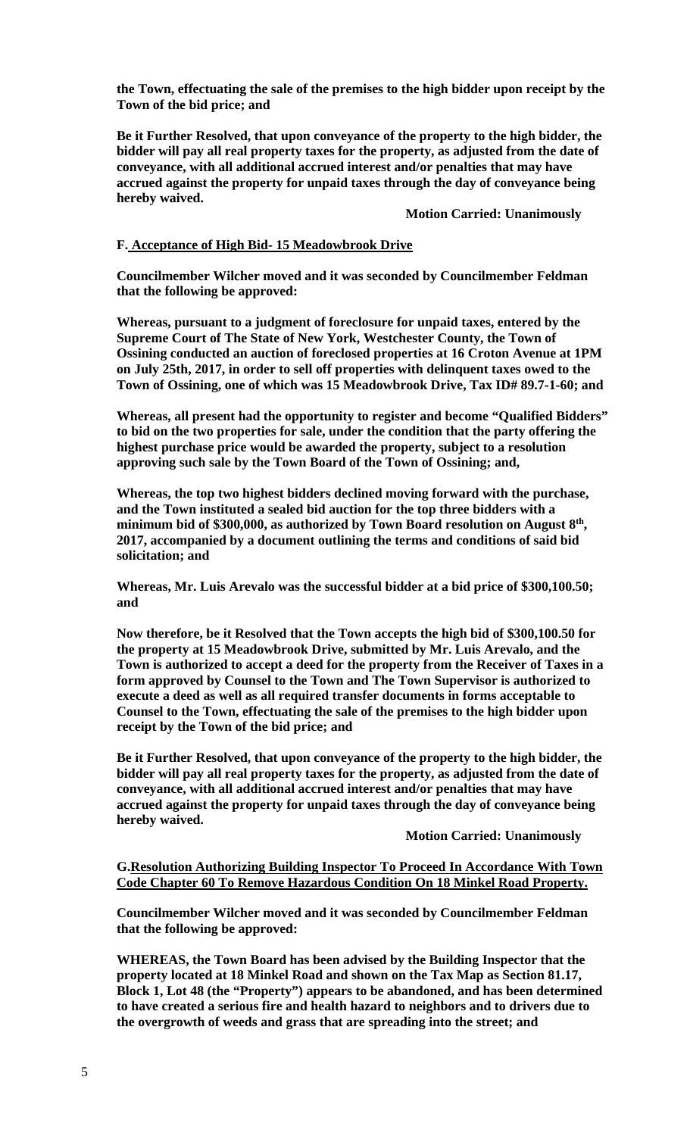**the Town, effectuating the sale of the premises to the high bidder upon receipt by the Town of the bid price; and**

**Be it Further Resolved, that upon conveyance of the property to the high bidder, the bidder will pay all real property taxes for the property, as adjusted from the date of conveyance, with all additional accrued interest and/or penalties that may have accrued against the property for unpaid taxes through the day of conveyance being hereby waived.** 

 **Motion Carried: Unanimously** 

### **F. Acceptance of High Bid- 15 Meadowbrook Drive**

**Councilmember Wilcher moved and it was seconded by Councilmember Feldman that the following be approved:** 

**Whereas, pursuant to a judgment of foreclosure for unpaid taxes, entered by the Supreme Court of The State of New York, Westchester County, the Town of Ossining conducted an auction of foreclosed properties at 16 Croton Avenue at 1PM on July 25th, 2017, in order to sell off properties with delinquent taxes owed to the Town of Ossining, one of which was 15 Meadowbrook Drive, Tax ID# 89.7-1-60; and** 

**Whereas, all present had the opportunity to register and become "Qualified Bidders" to bid on the two properties for sale, under the condition that the party offering the highest purchase price would be awarded the property, subject to a resolution approving such sale by the Town Board of the Town of Ossining; and,** 

**Whereas, the top two highest bidders declined moving forward with the purchase, and the Town instituted a sealed bid auction for the top three bidders with a minimum bid of \$300,000, as authorized by Town Board resolution on August 8th, 2017, accompanied by a document outlining the terms and conditions of said bid solicitation; and** 

**Whereas, Mr. Luis Arevalo was the successful bidder at a bid price of \$300,100.50; and** 

**Now therefore, be it Resolved that the Town accepts the high bid of \$300,100.50 for the property at 15 Meadowbrook Drive, submitted by Mr. Luis Arevalo, and the Town is authorized to accept a deed for the property from the Receiver of Taxes in a form approved by Counsel to the Town and The Town Supervisor is authorized to execute a deed as well as all required transfer documents in forms acceptable to Counsel to the Town, effectuating the sale of the premises to the high bidder upon receipt by the Town of the bid price; and**

**Be it Further Resolved, that upon conveyance of the property to the high bidder, the bidder will pay all real property taxes for the property, as adjusted from the date of conveyance, with all additional accrued interest and/or penalties that may have accrued against the property for unpaid taxes through the day of conveyance being hereby waived.** 

 **Motion Carried: Unanimously** 

### **G.Resolution Authorizing Building Inspector To Proceed In Accordance With Town Code Chapter 60 To Remove Hazardous Condition On 18 Minkel Road Property.**

**Councilmember Wilcher moved and it was seconded by Councilmember Feldman that the following be approved:** 

**WHEREAS, the Town Board has been advised by the Building Inspector that the property located at 18 Minkel Road and shown on the Tax Map as Section 81.17, Block 1, Lot 48 (the "Property") appears to be abandoned, and has been determined to have created a serious fire and health hazard to neighbors and to drivers due to the overgrowth of weeds and grass that are spreading into the street; and**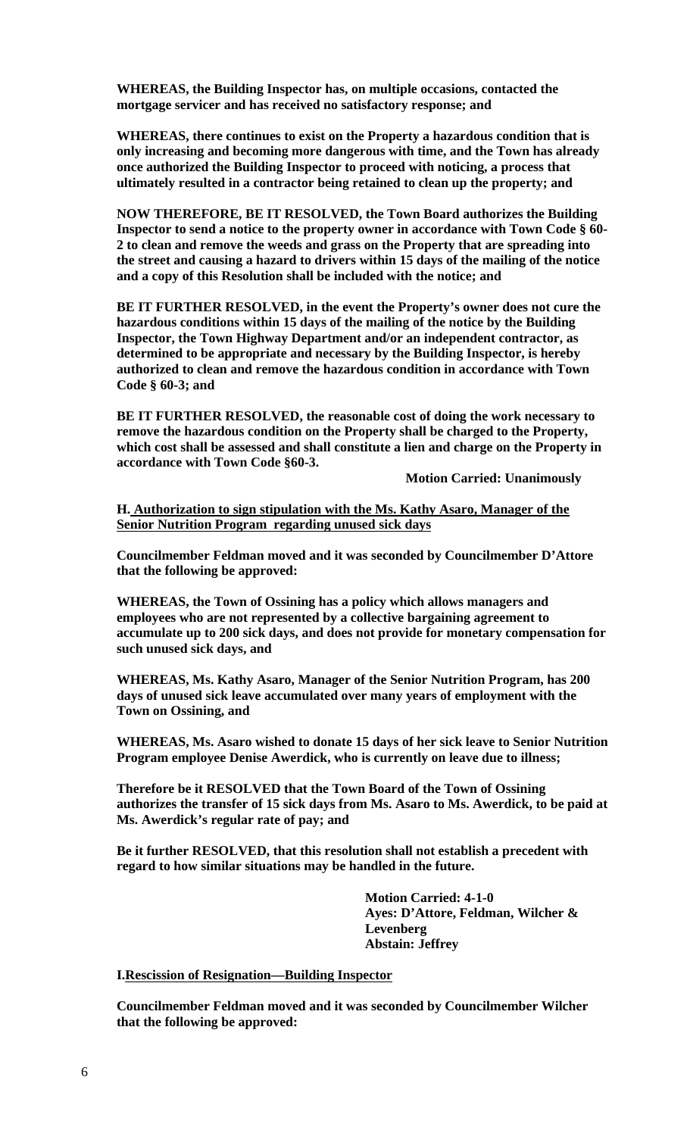**WHEREAS, the Building Inspector has, on multiple occasions, contacted the mortgage servicer and has received no satisfactory response; and** 

**WHEREAS, there continues to exist on the Property a hazardous condition that is only increasing and becoming more dangerous with time, and the Town has already once authorized the Building Inspector to proceed with noticing, a process that ultimately resulted in a contractor being retained to clean up the property; and** 

**NOW THEREFORE, BE IT RESOLVED, the Town Board authorizes the Building Inspector to send a notice to the property owner in accordance with Town Code § 60- 2 to clean and remove the weeds and grass on the Property that are spreading into the street and causing a hazard to drivers within 15 days of the mailing of the notice and a copy of this Resolution shall be included with the notice; and** 

**BE IT FURTHER RESOLVED, in the event the Property's owner does not cure the hazardous conditions within 15 days of the mailing of the notice by the Building Inspector, the Town Highway Department and/or an independent contractor, as determined to be appropriate and necessary by the Building Inspector, is hereby authorized to clean and remove the hazardous condition in accordance with Town Code § 60-3; and** 

**BE IT FURTHER RESOLVED, the reasonable cost of doing the work necessary to remove the hazardous condition on the Property shall be charged to the Property, which cost shall be assessed and shall constitute a lien and charge on the Property in accordance with Town Code §60-3.** 

 **Motion Carried: Unanimously** 

**H. Authorization to sign stipulation with the Ms. Kathy Asaro, Manager of the Senior Nutrition Program regarding unused sick days** 

**Councilmember Feldman moved and it was seconded by Councilmember D'Attore that the following be approved:** 

**WHEREAS, the Town of Ossining has a policy which allows managers and employees who are not represented by a collective bargaining agreement to accumulate up to 200 sick days, and does not provide for monetary compensation for such unused sick days, and** 

**WHEREAS, Ms. Kathy Asaro, Manager of the Senior Nutrition Program, has 200 days of unused sick leave accumulated over many years of employment with the Town on Ossining, and** 

**WHEREAS, Ms. Asaro wished to donate 15 days of her sick leave to Senior Nutrition Program employee Denise Awerdick, who is currently on leave due to illness;** 

**Therefore be it RESOLVED that the Town Board of the Town of Ossining authorizes the transfer of 15 sick days from Ms. Asaro to Ms. Awerdick, to be paid at Ms. Awerdick's regular rate of pay; and** 

**Be it further RESOLVED, that this resolution shall not establish a precedent with regard to how similar situations may be handled in the future.** 

> **Motion Carried: 4-1-0 Ayes: D'Attore, Feldman, Wilcher & Levenberg Abstain: Jeffrey**

### **I.Rescission of Resignation—Building Inspector**

**Councilmember Feldman moved and it was seconded by Councilmember Wilcher that the following be approved:**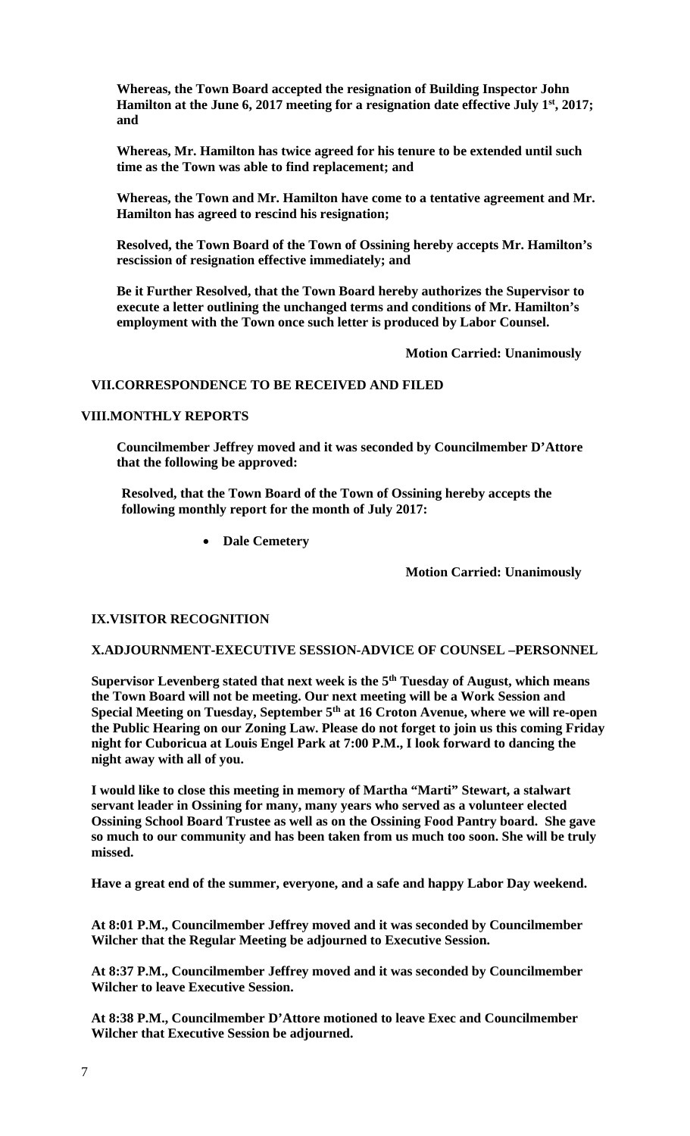**Whereas, the Town Board accepted the resignation of Building Inspector John**  Hamilton at the June 6, 2017 meeting for a resignation date effective July 1<sup>st</sup>, 2017; **and** 

**Whereas, Mr. Hamilton has twice agreed for his tenure to be extended until such time as the Town was able to find replacement; and** 

**Whereas, the Town and Mr. Hamilton have come to a tentative agreement and Mr. Hamilton has agreed to rescind his resignation;** 

**Resolved, the Town Board of the Town of Ossining hereby accepts Mr. Hamilton's rescission of resignation effective immediately; and** 

**Be it Further Resolved, that the Town Board hereby authorizes the Supervisor to execute a letter outlining the unchanged terms and conditions of Mr. Hamilton's employment with the Town once such letter is produced by Labor Counsel.** 

 **Motion Carried: Unanimously** 

# **VII.CORRESPONDENCE TO BE RECEIVED AND FILED**

#### **VIII.MONTHLY REPORTS**

**Councilmember Jeffrey moved and it was seconded by Councilmember D'Attore that the following be approved:** 

**Resolved, that the Town Board of the Town of Ossining hereby accepts the following monthly report for the month of July 2017:** 

**Dale Cemetery** 

 **Motion Carried: Unanimously** 

## **IX.VISITOR RECOGNITION**

### **X.ADJOURNMENT-EXECUTIVE SESSION-ADVICE OF COUNSEL –PERSONNEL**

Supervisor Levenberg stated that next week is the 5<sup>th</sup> Tuesday of August, which means **the Town Board will not be meeting. Our next meeting will be a Work Session and Special Meeting on Tuesday, September 5th at 16 Croton Avenue, where we will re-open the Public Hearing on our Zoning Law. Please do not forget to join us this coming Friday night for Cuboricua at Louis Engel Park at 7:00 P.M., I look forward to dancing the night away with all of you.** 

**I would like to close this meeting in memory of Martha "Marti" Stewart, a stalwart servant leader in Ossining for many, many years who served as a volunteer elected Ossining School Board Trustee as well as on the Ossining Food Pantry board. She gave so much to our community and has been taken from us much too soon. She will be truly missed.** 

**Have a great end of the summer, everyone, and a safe and happy Labor Day weekend.** 

**At 8:01 P.M., Councilmember Jeffrey moved and it was seconded by Councilmember Wilcher that the Regular Meeting be adjourned to Executive Session.** 

**At 8:37 P.M., Councilmember Jeffrey moved and it was seconded by Councilmember Wilcher to leave Executive Session.** 

**At 8:38 P.M., Councilmember D'Attore motioned to leave Exec and Councilmember Wilcher that Executive Session be adjourned.**